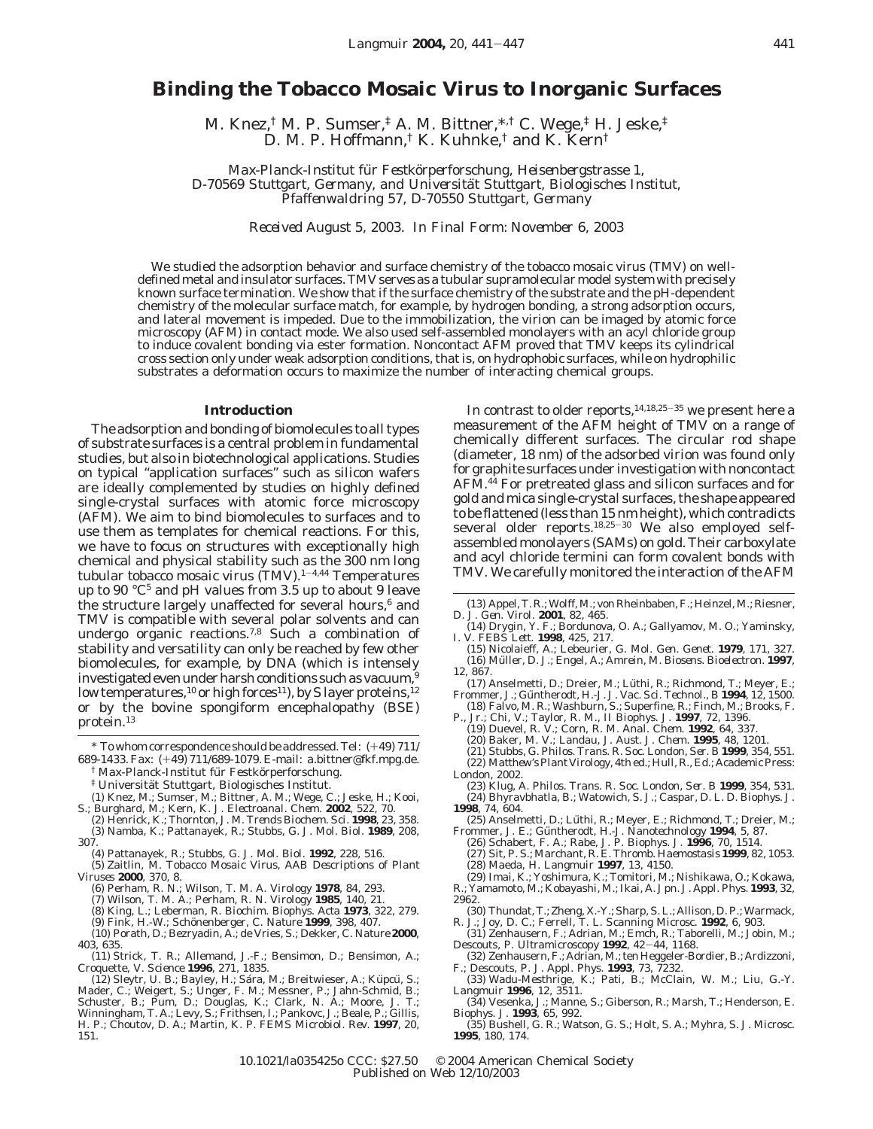# **Binding the Tobacco Mosaic Virus to Inorganic Surfaces**

M. Knez,† M. P. Sumser,‡ A. M. Bittner,\*,† C. Wege,‡ H. Jeske,‡ D. M. P. Hoffmann,† K. Kuhnke,† and K. Kern†

*Max-Planck-Institut fu*¨ *r Festko*¨*rperforschung, Heisenbergstrasse 1, D-70569 Stuttgart, Germany, and Universita*¨*t Stuttgart, Biologisches Institut, Pfaffenwaldring 57, D-70550 Stuttgart, Germany*

*Received August 5, 2003. In Final Form: November 6, 2003*

We studied the adsorption behavior and surface chemistry of the tobacco mosaic virus (TMV) on welldefined metal and insulator surfaces. TMV serves as a tubular supramolecular model system with precisely known surface termination. We show that if the surface chemistry of the substrate and the pH-dependent chemistry of the molecular surface match, for example, by hydrogen bonding, a strong adsorption occurs, and lateral movement is impeded. Due to the immobilization, the virion can be imaged by atomic force microscopy (AFM) in contact mode. We also used self-assembled monolayers with an acyl chloride group to induce covalent bonding via ester formation. Noncontact AFM proved that TMV keeps its cylindrical cross section only under weak adsorption conditions, that is, on hydrophobic surfaces, while on hydrophilic substrates a deformation occurs to maximize the number of interacting chemical groups.

### **Introduction**

The adsorption and bonding of biomolecules to all types of substrate surfaces is a central problem in fundamental studies, but also in biotechnological applications. Studies on typical "application surfaces" such as silicon wafers are ideally complemented by studies on highly defined single-crystal surfaces with atomic force microscopy (AFM). We aim to bind biomolecules to surfaces and to use them as templates for chemical reactions. For this, we have to focus on structures with exceptionally high chemical and physical stability such as the 300 nm long tubular *tobacco mosaic virus* (TMV).1-4,44 Temperatures up to 90  $\degree$ C<sup>5</sup> and pH values from 3.5 up to about 9 leave the structure largely unaffected for several hours,<sup>6</sup> and TMV is compatible with several polar solvents and can undergo organic reactions.<sup>7,8</sup> Such a combination of stability and versatility can only be reached by few other biomolecules, for example, by DNA (which is intensely investigated even under harsh conditions such as vacuum,  $9$ low temperatures,<sup>10</sup> or high forces<sup>11</sup>), by S layer proteins,<sup>12</sup> or by the bovine spongiform encephalopathy (BSE) protein.13

- <sup>†</sup> Max-Planck-Institut für Festkörperforschung.
- $^\ddag$ Universität Stuttgart, Biologisches Institut.
- (1) Knez, M.; Sumser, M.; Bittner, A. M.; Wege, C.; Jeske, H.; Kooi, S.; Burghard, M.; Kern, K. *J. Electroanal. Chem.* **2002**, *522*, 70.
- (2) Henrick, K.; Thornton, J. M. *Trends Biochem. Sci.* **1998**, *23*, 358. (3) Namba, K.; Pattanayek, R.; Stubbs, G. *J. Mol. Biol.* **1989**, *208*,
- 307. (4) Pattanayek, R.; Stubbs, G. *J. Mol. Biol.* **1992**, *228*, 516.
- (5) Zaitlin, M. *Tobacco Mosaic Virus, AAB Descriptions of Plant Viruses* **2000**, *370*, 8.
	- (6) Perham, R. N.; Wilson, T. M. A. *Virology* **1978**, *84*, 293.
	- (7) Wilson, T. M. A.; Perham, R. N. *Virology* **1985**, *140*, 21.
	-
	- (8) King, L.; Leberman, R. *Biochim. Biophys. Acta* **1973**, *322*, 279. (9) Fink, H.-W.; Scho¨nenberger, C. *Nature* **1999**, *398*, 407.
- (10) Porath, D.; Bezryadin, A.; de Vries, S.; Dekker, C. *Nature* **2000**, *403*, 635.
- (11) Strick, T. R.; Allemand, J.-F.; Bensimon, D.; Bensimon, A.; Croquette, V. *Science* **1996**, *271*, 1835.
- (12) Sleytr, U. B.; Bayley, H.; Sára, M.; Breitwieser, A.; Küpcü, S.;<br>Mader, C.; Weigert, S.; Unger, F. M.; Messner, P.; Jahn-Schmid, B.; Schuster, B.; Pum, D.; Douglas, K.; Clark, N. A.; Moore, J. T.; Winningham, T. A.; Levy, S.; Frithsen, I.; Pankovc, J.; Beale, P.; Gillis, H. P.; Choutov, D. A.; Martin, K. P. *FEMS Microbiol. Rev.* **1997**, *20*, 151.

In contrast to older reports,  $14,18,25-35$  we present here a measurement of the AFM height of TMV on a range of chemically different surfaces. The circular rod shape (diameter, 18 nm) of the adsorbed virion was found only for graphite surfaces under investigation with noncontact AFM.<sup>44</sup> For pretreated glass and silicon surfaces and for gold and mica single-crystal surfaces, the shape appeared to be flattened (less than 15 nm height), which contradicts several older reports.<sup>18,25-30</sup> We also employed selfassembled monolayers (SAMs) on gold. Their carboxylate and acyl chloride termini can form covalent bonds with TMV. We carefully monitored the interaction of the AFM

- (14) Drygin, Y. F.; Bordunova, O. A.; Gallyamov, M. O.; Yaminsky, I. V. *FEBS Lett.* **1998**, *425*, 217.
- (15) Nicolaieff, A.; Lebeurier, G. *Mol. Gen. Genet.* **1979**, *171*, 327. (16) Müller, D. J.; Engel, A.; Amrein, M. *Biosens. Bioelectron.* **1997**, *12*, 867.
- (17) Anselmetti, D.; Dreier, M.; Lüthi, R.; Richmond, T.; Meyer, E.; Frommer, J.; Gu¨ ntherodt, H.-J. *J. Vac. Sci. Technol., B* **1994**, *12*, 1500.
	- (18) Falvo, M. R.; Washburn, S.; Superfine, R.; Finch, M.; Brooks, F.
- P., Jr.; Chi, V.; Taylor, R. M., II *Biophys. J.* **1997**, *72*, 1396. (19) Duevel, R. V.; Corn, R. M. *Anal. Chem.* **1992**, *64*, 337.
- (20) Baker, M. V.; Landau, J. *Aust. J. Chem.* **1995**, *48*, 1201.
- (21) Stubbs, G. *Philos. Trans. R. Soc. London, Ser. B* **1999**, *354*, 551.
- (22) *Matthew's Plant Virology*, 4th ed.; Hull, R., Ed.; Academic Press: London, 2002.
- (23) Klug, A. *Philos. Trans. R. Soc. London, Ser. B* **1999**, *354*, 531. (24) Bhyravbhatla, B.; Watowich, S. J.; Caspar, D. L. D. *Biophys. J.* **1998**, *74*, 604.
- (25) Anselmetti, D.; Lu¨ thi, R.; Meyer, E.; Richmond, T.; Dreier, M.; Frommer, J. E.; Gu¨ ntherodt, H.-J. *Nanotechnology* **1994**, *5*, 87.
- (26) Schabert, F. A.; Rabe, J. P. *Biophys. J.* **1996**, *70*, 1514.
- (27) Sit, P. S.; Marchant, R. E. *Thromb. Haemostasis* **1999**, *82*, 1053. (28) Maeda, H. *Langmuir* **1997**, *13*, 4150.
- (29) Imai, K.; Yoshimura, K.; Tomitori, M.; Nishikawa, O.; Kokawa,
- R.; Yamamoto, M.; Kobayashi, M.; Ikai, A. *Jpn. J. Appl. Phys.* **1993**, *32*, 2962.
- (30) Thundat, T.; Zheng, X.-Y.; Sharp, S. L.; Allison, D. P.; Warmack, R. J.; Joy, D. C.; Ferrell, T. L. *Scanning Microsc.* **1992**, *6*, 903.
- (31) Zenhausern, F.; Adrian, M.; Emch, R.; Taborelli, M.; Jobin, M.; Descouts, P. *Ultramicroscopy* **<sup>1992</sup>**, *<sup>42</sup>*-*44*, 1168.
- (32) Zenhausern, F.; Adrian, M.; ten Heggeler-Bordier, B.; Ardizzoni, F.; Descouts, P. *J. Appl. Phys.* **1993**, *73*, 7232.
- (33) Wadu-Mesthrige, K.; Pati, B.; McClain, W. M.; Liu, G.-Y. *Langmuir* **1996**, *12*, 3511.
- (34) Vesenka, J.; Manne, S.; Giberson, R.; Marsh, T.; Henderson, E. *Biophys. J.* **1993**, *65*, 992.
- (35) Bushell, G. R.; Watson, G. S.; Holt, S. A.; Myhra, S. *J. Microsc.* **1995**, *180*, 174.

<sup>\*</sup> To whom correspondence should be addressed. Tel: (+49) 711/ 689-1433. Fax: (+49) 711/689-1079. E-mail: a.bittner@fkf.mpg.de.

<sup>(13)</sup> Appel, T. R.; Wolff, M.; von Rheinbaben, F.; Heinzel, M.; Riesner, D. *J. Gen. Virol.* **2001**, *82*, 465.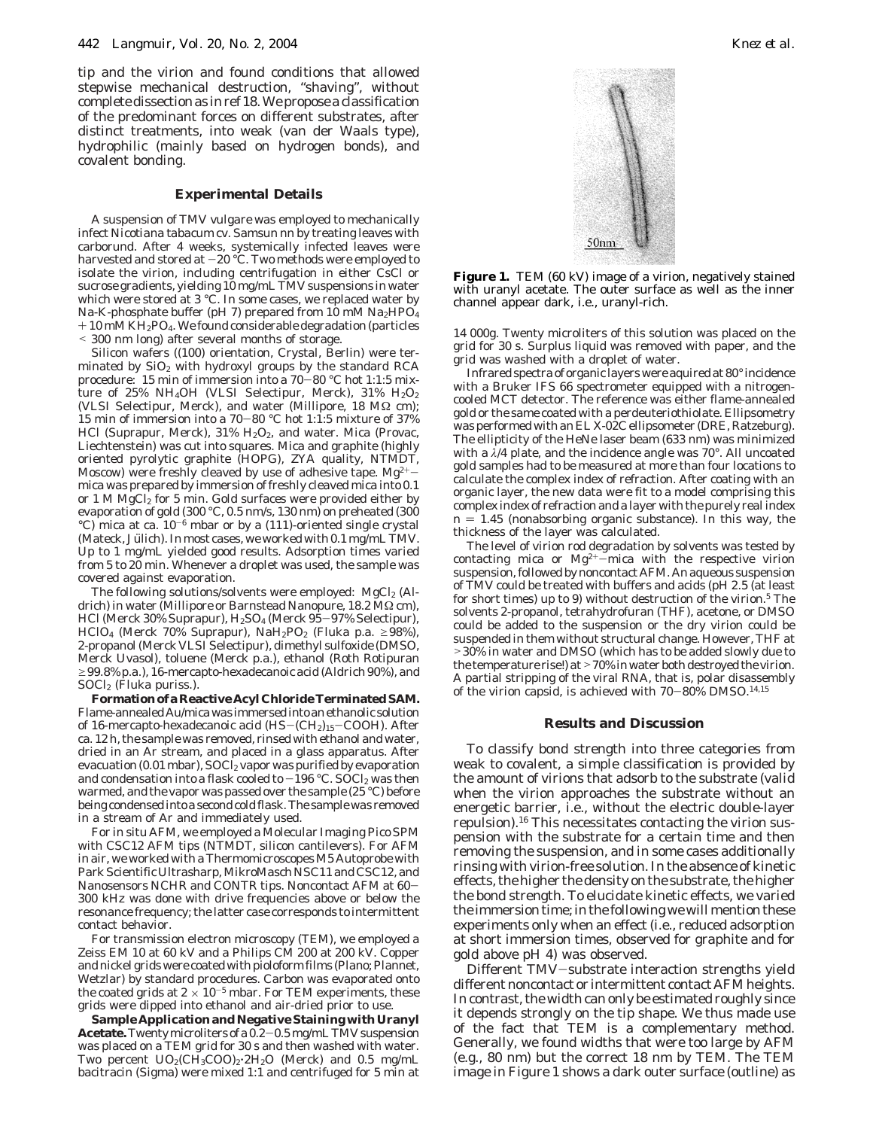tip and the virion and found conditions that allowed stepwise mechanical destruction, "shaving", without complete dissection as in ref 18. We propose a classification of the predominant forces on different substrates, after distinct treatments, into weak (van der Waals type), hydrophilic (mainly based on hydrogen bonds), and covalent bonding.

## **Experimental Details**

A suspension of TMV *vulgare* was employed to mechanically infect *Nicotiana tabacum* cv. Samsun nn by treating leaves with carborund. After 4 weeks, systemically infected leaves were harvested and stored at  $-20$  °C. Two methods were employed to isolate the virion, including centrifugation in either CsCl or sucrose gradients, yielding  $10\,\mathrm{mg/mL}$  TMV suspensions in water which were stored at 3 °C. In some cases, we replaced water by Na-K-phosphate buffer (pH 7) prepared from 10 mM  $Na<sub>2</sub>HPO<sub>4</sub>$  $+10$  mM KH<sub>2</sub>PO<sub>4</sub>. We found considerable degradation (particles < 300 nm long) after several months of storage.

Silicon wafers ((100) orientation, Crystal, Berlin) were terminated by  $SiO<sub>2</sub>$  with hydroxyl groups by the standard RCA procedure: 15 min of immersion into a 70-80 °C hot 1:1:5 mixture of 25% NH<sub>4</sub>OH (VLSI Selectipur, Merck), 31% H<sub>2</sub>O<sub>2</sub> (VLSI Selectipur, Merck), and water (Millipore, 18 MΩ cm); 15 min of immersion into a 70-80 °C hot 1:1:5 mixture of 37% HCl (Suprapur, Merck), 31% H<sub>2</sub>O<sub>2</sub>, and water. Mica (Provac, Liechtenstein) was cut into squares. Mica and graphite (highly oriented pyrolytic graphite (HOPG), ZYA quality, NTMDT, Moscow) were freshly cleaved by use of adhesive tape.  $Mg^{2+}$ mica was prepared by immersion of freshly cleaved mica into 0.1 or 1 M MgCl<sub>2</sub> for 5 min. Gold surfaces were provided either by evaporation of gold (300 °C, 0.5 nm/s, 130 nm) on preheated (300 °C) mica at ca.  $10^{-6}$  mbar or by a (111)-oriented single crystal (Mateck, Jülich). In most cases, we worked with 0.1 mg/mL TMV. Up to 1 mg/mL yielded good results. Adsorption times varied from 5 to 20 min. Whenever a droplet was used, the sample was covered against evaporation.

The following solutions/solvents were employed:  $MgCl<sub>2</sub>$  (Aldrich) in water (Millipore or Barnstead Nanopure, 18.2 MΩ cm), HCl (Merck 30% Suprapur), H2SO4 (Merck 95-97% Selectipur), HClO<sub>4</sub> (Merck 70% Suprapur), NaH<sub>2</sub>PO<sub>2</sub> (Fluka p.a.  $\geq$ 98%), 2-propanol (Merck VLSI Selectipur), dimethyl sulfoxide (DMSO, Merck Uvasol), toluene (Merck p.a.), ethanol (Roth Rotipuran  $\geq$ 99.8% p.a.), 16-mercapto-hexadecanoic acid (Aldrich 90%), and  $S OCl<sub>2</sub>$  (Fluka puriss.).

**FormationofaReactiveAcylChlorideTerminatedSAM.** Flame-annealedAu/micawasimmersedintoanethanolicsolution of 16-mercapto-hexadecanoic acid  $(HS-(CH<sub>2</sub>)<sub>15</sub>-COOH)$ . After ca. 12 h, the sample was removed, rinsed with ethanol and water, dried in an Ar stream, and placed in a glass apparatus. After evacuation (0.01 mbar), SOCl2 vapor was purified by evaporation and condensation into a flask cooled to  $-196$  °C. SOCl<sub>2</sub> was then warmed, and the vapor was passed over the sample (25 °C) before being condensed into a second cold flask. The sample was removed in a stream of Ar and immediately used.

For in situ AFM, we employed a Molecular Imaging Pico SPM with CSC12 AFM tips (NTMDT, silicon cantilevers). For AFM in air, we worked with a Thermomicroscopes M5 Autoprobe with Park Scientific Ultrasharp, MikroMasch NSC11 and CSC12, and Nanosensors NCHR and CONTR tips. Noncontact AFM at 60- 300 kHz was done with drive frequencies above or below the resonance frequency; the latter case corresponds to intermittent contact behavior.

For transmission electron microscopy (TEM), we employed a Zeiss EM 10 at 60 kV and a Philips CM 200 at 200 kV. Copper and nickel grids were coated with pioloform films (Plano; Plannet, Wetzlar) by standard procedures. Carbon was evaporated onto the coated grids at  $2 \times 10^{-5}$  mbar. For TEM experiments, these grids were dipped into ethanol and air-dried prior to use.

**Sample Application and Negative Staining with Uranyl Acetate.**Twenty microliters of a 0.2-0.5 mg/mL TMV suspension was placed on a TEM grid for 30 s and then washed with water. Two percent  $UO_2(CH_3COO)_2 \cdot 2H_2O$  (Merck) and 0.5 mg/mL bacitracin (Sigma) were mixed 1:1 and centrifuged for 5 min at



**Figure 1.** TEM (60 kV) image of a virion, negatively stained with uranyl acetate. The outer surface as well as the inner channel appear dark, i.e., uranyl-rich.

14 000*g*. Twenty microliters of this solution was placed on the grid for 30 s. Surplus liquid was removed with paper, and the grid was washed with a droplet of water.

Infrared spectra of organic layers were aquired at 80° incidence with a Bruker IFS 66 spectrometer equipped with a nitrogencooled MCT detector. The reference was either flame-annealed gold or the same coated with a perdeuteriothiolate. Ellipsometry was performed with an EL X-02C ellipsometer (DRE, Ratzeburg). The ellipticity of the HeNe laser beam (633 nm) was minimized with a *λ*/4 plate, and the incidence angle was 70°. All uncoated gold samples had to be measured at more than four locations to calculate the complex index of refraction. After coating with an organic layer, the new data were fit to a model comprising this complex index of refraction and a layer with the purely real index  $n = 1.45$  (nonabsorbing organic substance). In this way, the thickness of the layer was calculated.

The level of virion rod degradation by solvents was tested by contacting mica or  $Mg^{2+}-m$ ica with the respective virion suspension, followed by noncontact AFM. An aqueous suspension of TMV could be treated with buffers and acids (pH 2.5 (at least for short times) up to 9) without destruction of the virion.5 The solvents 2-propanol, tetrahydrofuran (THF), acetone, or DMSO could be added to the suspension or the dry virion could be suspended in them without structural change. However, THF at >30% in water and DMSO (which has to be added slowly due to the temperature rise!) at>70% in water both destroyed the virion. A partial stripping of the viral RNA, that is, polar disassembly of the virion capsid, is achieved with  $70-80\%$  DMSO.<sup>14,15</sup>

## **Results and Discussion**

To classify bond strength into three categories from weak to covalent, a simple classification is provided by the amount of virions that adsorb to the substrate (valid when the virion approaches the substrate without an energetic barrier, i.e., without the electric double-layer repulsion).16 This necessitates contacting the virion suspension with the substrate for a certain time and then removing the suspension, and in some cases additionally rinsing with virion-free solution. In the absence of kinetic effects, the higher the density on the substrate, the higher the bond strength. To elucidate kinetic effects, we varied the immersion time; in the following we will mention these experiments only when an effect (i.e., reduced adsorption at short immersion times, observed for graphite and for gold above pH 4) was observed.

Different TMV-substrate interaction strengths yield different noncontact or intermittent contact AFM heights. In contrast, the width can only be estimated roughly since it depends strongly on the tip shape. We thus made use of the fact that TEM is a complementary method. Generally, we found widths that were too large by AFM (e.g., 80 nm) but the correct 18 nm by TEM. The TEM image in Figure 1 shows a dark outer surface (outline) as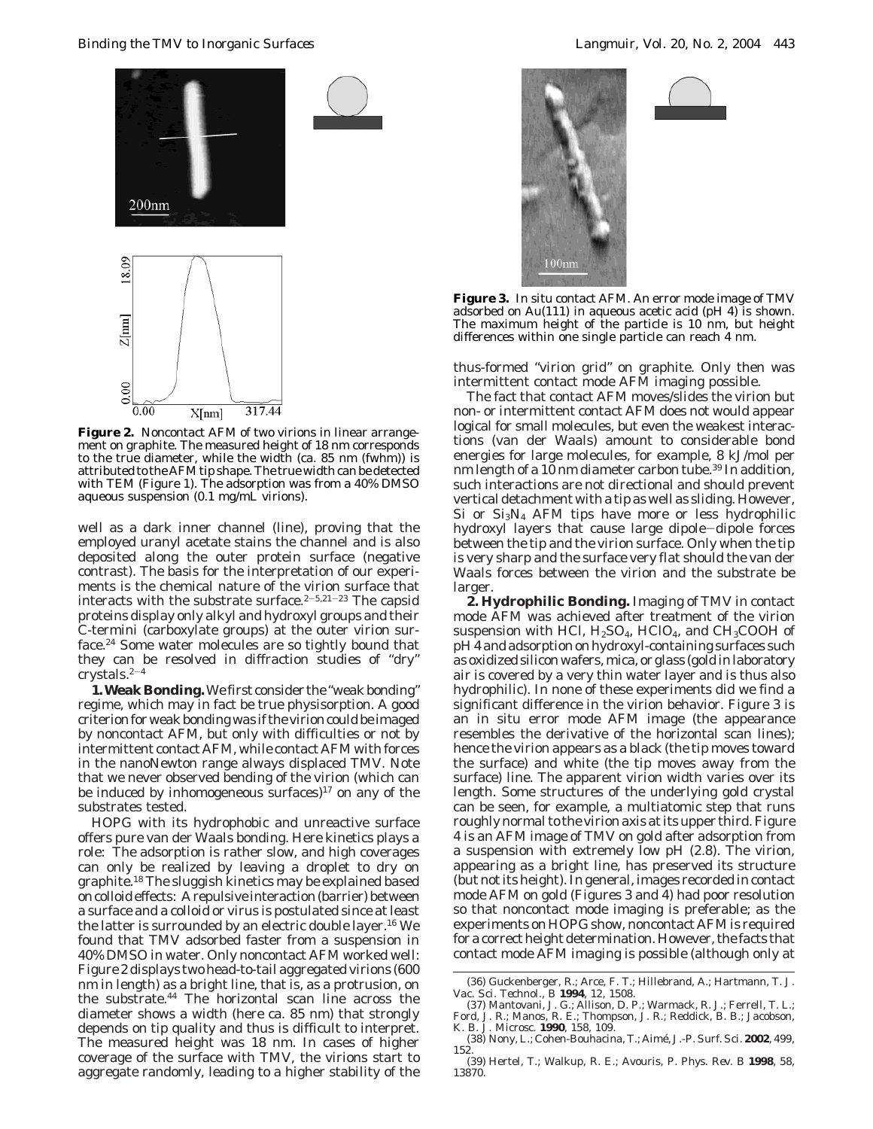*Binding the TMV to Inorganic Surfaces Langmuir, Vol. 20, No. 2, 2004* 443



**Figure 2.** Noncontact AFM of two virions in linear arrangement on graphite. The measured height of 18 nm corresponds to the true diameter, while the width (ca. 85 nm (fwhm)) is attributed to the AFM tip shape. The true width can be detected with TEM (Figure 1). The adsorption was from a 40% DMSO aqueous suspension (0.1 mg/mL virions).

well as a dark inner channel (line), proving that the employed uranyl acetate stains the channel and is also deposited along the outer protein surface (negative contrast). The basis for the interpretation of our experiments is the chemical nature of the virion surface that interacts with the substrate surface. $2-5,21-23$  The capsid proteins display only alkyl and hydroxyl groups and their C-termini (carboxylate groups) at the outer virion surface.24 Some water molecules are so tightly bound that they can be resolved in diffraction studies of "dry" crystals. $2-4$ 

**1. Weak Bonding.**We first consider the "weak bonding" regime, which may in fact be true physisorption. A good criterion for weak bonding was if the virion could be imaged by noncontact AFM, but only with difficulties or not by intermittent contact AFM, while contact AFM with forces in the nanoNewton range always displaced TMV. Note that we never observed bending of the virion (which can be induced by inhomogeneous surfaces) $17$  on any of the substrates tested.

HOPG with its hydrophobic and unreactive surface offers pure van der Waals bonding. Here kinetics plays a role: The adsorption is rather slow, and high coverages can only be realized by leaving a droplet to dry on graphite.18 The sluggish kinetics may be explained based on colloid effects: A repulsive interaction (barrier) between a surface and a colloid or virus is postulated since at least the latter is surrounded by an electric double layer.16 We found that TMV adsorbed faster from a suspension in 40% DMSO in water. Only noncontact AFM worked well: Figure 2 displays two head-to-tail aggregated virions (600 nm in length) as a bright line, that is, as a protrusion, on the substrate.44 The horizontal scan line across the diameter shows a width (here ca. 85 nm) that strongly depends on tip quality and thus is difficult to interpret. The measured height was 18 nm. In cases of higher coverage of the surface with TMV, the virions start to aggregate randomly, leading to a higher stability of the



**Figure 3.** In situ contact AFM. An error mode image of TMV adsorbed on Au(111) in aqueous acetic acid (pH 4) is shown. The maximum height of the particle is 10 nm, but height differences within one single particle can reach 4 nm.

thus-formed "virion grid" on graphite. Only then was intermittent contact mode AFM imaging possible.

The fact that contact AFM moves/slides the virion but non- or intermittent contact AFM does not would appear logical for small molecules, but even the weakest interactions (van der Waals) amount to considerable bond energies for large molecules, for example, 8 kJ/mol per nm length of a 10 nm diameter carbon tube.<sup>39</sup> In addition, such interactions are not directional and should prevent vertical detachment with a tip as well as sliding. However, Si or  $Si<sub>3</sub>N<sub>4</sub>$  AFM tips have more or less hydrophilic hydroxyl layers that cause large dipole-dipole forces between the tip and the virion surface. Only when the tip is very sharp and the surface very flat should the van der Waals forces between the virion and the substrate be larger.

**2. Hydrophilic Bonding.** Imaging of TMV in contact mode AFM was achieved after treatment of the virion suspension with HCl,  $H_2SO_4$ , HClO<sub>4</sub>, and CH<sub>3</sub>COOH of pH 4 and adsorption on hydroxyl-containing surfaces such as oxidized silicon wafers, mica, or glass (gold in laboratory air is covered by a very thin water layer and is thus also hydrophilic). In none of these experiments did we find a significant difference in the virion behavior. Figure 3 is an in situ error mode AFM image (the appearance resembles the derivative of the horizontal scan lines); hence the virion appears as a black (the tip moves toward the surface) and white (the tip moves away from the surface) line. The apparent virion width varies over its length. Some structures of the underlying gold crystal can be seen, for example, a multiatomic step that runs roughly normal to the virion axis at its upper third. Figure 4 is an AFM image of TMV on gold after adsorption from a suspension with extremely low pH (2.8). The virion, appearing as a bright line, has preserved its structure (but not its height). In general, images recorded in contact mode AFM on gold (Figures 3 and 4) had poor resolution so that noncontact mode imaging is preferable; as the experiments on HOPG show, noncontact AFM is required for a correct height determination. However, the facts that contact mode AFM imaging is possible (although only at

<sup>(36)</sup> Guckenberger, R.; Arce, F. T.; Hillebrand, A.; Hartmann, T. *J. Vac. Sci. Technol., B* **1994**, *12*, 1508. (37) Mantovani, J. G.; Allison, D. P.; Warmack, R. J.; Ferrell, T. L.;

Ford, J. R.; Manos, R. E.; Thompson, J. R.; Reddick, B. B.; Jacobson, K. B. *J. Microsc.* **1990**, *158*, 109.

<sup>(38)</sup> Nony, L.; Cohen-Bouhacina, T.; Aime´, J.-P. *Surf. Sci.* **2002**, *499*, 152.

<sup>(39)</sup> Hertel, T.; Walkup, R. E.; Avouris, P. *Phys. Rev. B* **1998**, *58*, 13870.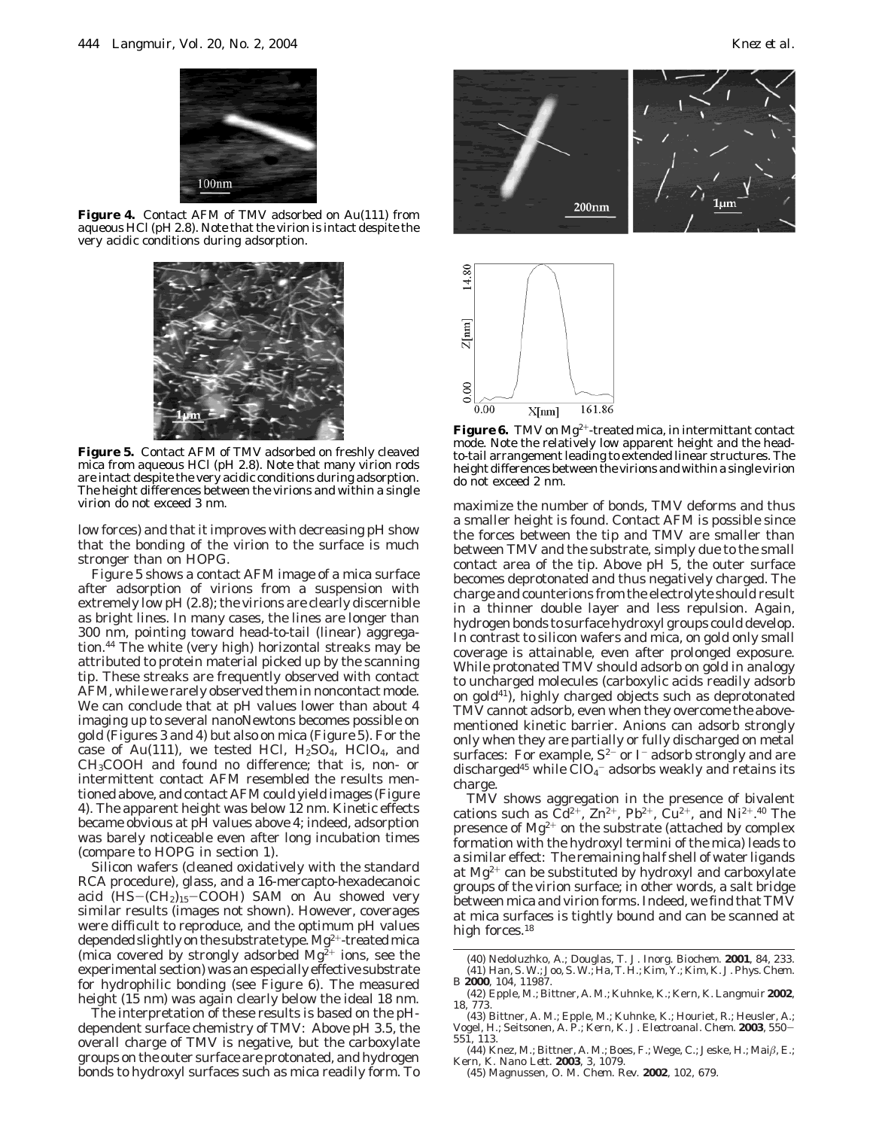

**Figure 4.** Contact AFM of TMV adsorbed on Au(111) from aqueous HCl (pH 2.8). Note that the virion is intact despite the very acidic conditions during adsorption.



**Figure 5.** Contact AFM of TMV adsorbed on freshly cleaved mica from aqueous HCl (pH 2.8). Note that many virion rods are intact despite the very acidic conditions during adsorption. The height differences between the virions and within a single virion do not exceed 3 nm.

low forces) and that it improves with decreasing pH show that the bonding of the virion to the surface is much stronger than on HOPG.

Figure 5 shows a contact AFM image of a mica surface after adsorption of virions from a suspension with extremely low pH (2.8); the virions are clearly discernible as bright lines. In many cases, the lines are longer than 300 nm, pointing toward head-to-tail (linear) aggregation.44 The white (very high) horizontal streaks may be attributed to protein material picked up by the scanning tip. These streaks are frequently observed with contact AFM, while we rarely observed them in noncontact mode. We can conclude that at pH values lower than about 4 imaging up to several nanoNewtons becomes possible on gold (Figures 3 and 4) but also on mica (Figure 5). For the case of Au(111), we tested HCl,  $H<sub>2</sub>SO<sub>4</sub>$ , HClO<sub>4</sub>, and CH3COOH and found no difference; that is, non- or intermittent contact AFM resembled the results mentioned above, and contact AFM could yield images (Figure 4). The apparent height was below 12 nm. Kinetic effects became obvious at pH values above 4; indeed, adsorption was barely noticeable even after long incubation times (compare to HOPG in section 1).

Silicon wafers (cleaned oxidatively with the standard RCA procedure), glass, and a 16-mercapto-hexadecanoic acid  $(HS-(CH<sub>2</sub>)<sub>15</sub>-COOH)$  SAM on Au showed very similar results (images not shown). However, coverages were difficult to reproduce, and the optimum pH values depended slightly on the substrate type.  $\rm Mg^{2+}$ -treated mica (mica covered by strongly adsorbed  $Mg^{2+}$  ions, see the experimental section) was an especially effective substrate for hydrophilic bonding (see Figure 6). The measured height (15 nm) was again clearly below the ideal 18 nm.

The interpretation of these results is based on the pHdependent surface chemistry of TMV: Above pH 3.5, the overall charge of TMV is negative, but the carboxylate groups on the outer surface are protonated, and hydrogen bonds to hydroxyl surfaces such as mica readily form. To





Figure 6. TMV on Mg<sup>2+</sup>-treated mica, in intermittant contact mode. Note the relatively low apparent height and the headto-tail arrangement leading to extended linear structures. The height differences between the virions and within a single virion do not exceed 2 nm.

maximize the number of bonds, TMV deforms and thus a smaller height is found. Contact AFM is possible since the forces between the tip and TMV are smaller than between TMV and the substrate, simply due to the small contact area of the tip. Above pH 5, the outer surface becomes deprotonated and thus negatively charged. The charge and counterions from the electrolyte should result in a thinner double layer and less repulsion. Again, hydrogen bonds to surface hydroxyl groups could develop. In contrast to silicon wafers and mica, on gold only small coverage is attainable, even after prolonged exposure. While protonated TMV should adsorb on gold in analogy to uncharged molecules (carboxylic acids readily adsorb on gold41), highly charged objects such as deprotonated TMV cannot adsorb, even when they overcome the abovementioned kinetic barrier. Anions can adsorb strongly only when they are partially or fully discharged on metal surfaces: For example,  $S^{2-}$  or I<sup>-</sup> adsorb strongly and are discharged<sup>45</sup> while  $ClO<sub>4</sub><sup>-</sup>$  adsorbs weakly and retains its charge.

TMV shows aggregation in the presence of bivalent cations such as  $Cd^{2+}$ ,  $Zn^{2+}$ ,  $Pb^{2+}$ ,  $Cu^{2+}$ , and  $Ni^{2+}$ .<sup>40</sup> The presence of  $Mg^{2+}$  on the substrate (attached by complex formation with the hydroxyl termini of the mica) leads to a similar effect: The remaining half shell of water ligands at  $Mg^{2+}$  can be substituted by hydroxyl and carboxylate groups of the virion surface; in other words, a salt bridge between mica and virion forms. Indeed, we find that TMV at mica surfaces is tightly bound and can be scanned at high forces.<sup>18</sup>

- (44) Knez, M.; Bittner, A. M.; Boes, F.; Wege, C.; Jeske, H.; Mai*â*, E.; Kern, K. *Nano Lett.* **2003**, *3*, 1079. (45) Magnussen, O. M. *Chem. Rev.* **2002**, *102*, 679.
- 

<sup>(40)</sup> Nedoluzhko, A.; Douglas, T. *J. Inorg. Biochem.* **2001**, *84*, 233. (41) Han, S. W.; Joo, S. W.; Ha, T. H.; Kim, Y.; Kim, K. *J. Phys. Chem. B* **2000**, *104*, 11987.

<sup>(42)</sup> Epple, M.; Bittner, A. M.; Kuhnke, K.; Kern, K. *Langmuir* **2002**, *18*, 773.

<sup>(43)</sup> Bittner, A. M.; Epple, M.; Kuhnke, K.; Houriet, R.; Heusler, A.; Vogel, H.; Seitsonen, A. P.; Kern, K. *J. Electroanal. Chem.* **<sup>2003</sup>**, *<sup>550</sup>*- *551*, 113.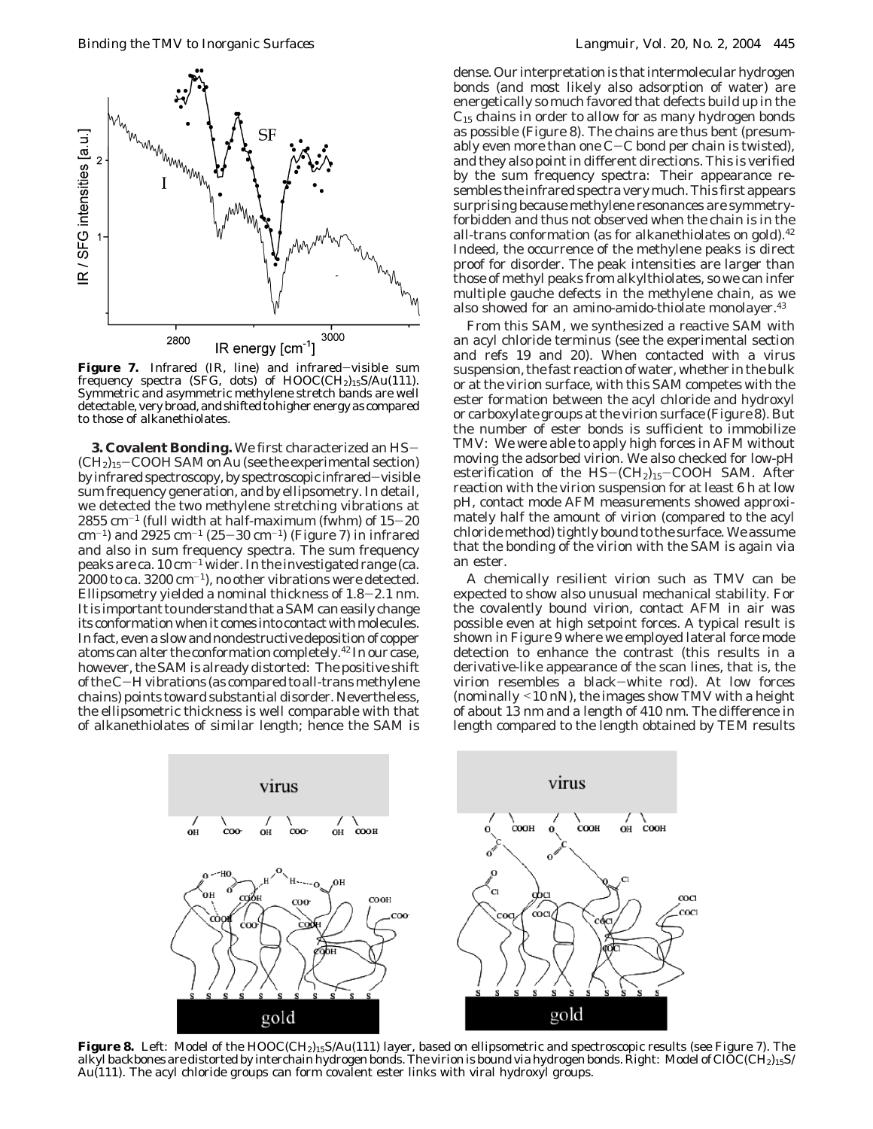

**Figure 7.** Infrared (IR, line) and infrared-visible sum frequency spectra (SFG, dots) of HOOC(CH2)15S/Au(111). Symmetric and asymmetric methylene stretch bands are well detectable, very broad, and shifted to higher energy as compared to those of alkanethiolates.

**3. Covalent Bonding.** We first characterized an HS-  $(CH<sub>2</sub>)<sub>15</sub>$  – COOH SAM on Au (see the experimental section) by infrared spectroscopy, by spectroscopic infrared-visible sum frequency generation, and by ellipsometry. In detail, we detected the two methylene stretching vibrations at  $2855$  cm<sup>-1</sup> (full width at half-maximum (fwhm) of  $15-20$  $\text{cm}^{-1}$ ) and 2925 cm<sup>-1</sup> (25-30 cm<sup>-1</sup>) (Figure 7) in infrared and also in sum frequency spectra. The sum frequency peaks are ca.  $10 \text{ cm}^{-1}$  wider. In the investigated range (ca.  $2000$  to ca.  $3200$  cm<sup>-1</sup>), no other vibrations were detected. Ellipsometry yielded a nominal thickness of 1.8-2.1 nm. It is important to understand that a SAM can easily change its conformation when it comes into contact with molecules. In fact, even a slow and nondestructive deposition of copper atoms can alter the conformation completely.42 In our case, however, the SAM is already distorted: The positive shift of the C-H vibrations (as compared to all-trans methylene chains) points toward substantial disorder. Nevertheless, the ellipsometric thickness is well comparable with that of alkanethiolates of similar length; hence the SAM is dense. Our interpretation is that intermolecular hydrogen bonds (and most likely also adsorption of water) are energetically so much favored that defects build up in the  $C_{15}$  chains in order to allow for as many hydrogen bonds as possible (Figure 8). The chains are thus bent (presumably even more than one  $C-C$  bond per chain is twisted). and they also point in different directions. This is verified by the sum frequency spectra: Their appearance resembles the infrared spectra very much. This first appears surprising because methylene resonances are symmetryforbidden and thus not observed when the chain is in the all-trans conformation (as for alkanethiolates on gold).<sup>42</sup> Indeed, the occurrence of the methylene peaks is direct proof for disorder. The peak intensities are larger than those of methyl peaks from alkylthiolates, so we can infer multiple gauche defects in the methylene chain, as we also showed for an amino-amido-thiolate monolayer.43

From this SAM, we synthesized a reactive SAM with an acyl chloride terminus (see the experimental section and refs 19 and 20). When contacted with a virus suspension, the fast reaction of water, whether in the bulk or at the virion surface, with this SAM competes with the ester formation between the acyl chloride and hydroxyl or carboxylate groups at the virion surface (Figure 8). But the number of ester bonds is sufficient to immobilize TMV: We were able to apply high forces in AFM without moving the adsorbed virion. We also checked for low-pH esterification of the  $HS-(CH<sub>2</sub>)<sub>15</sub>-COOH$  SAM. After reaction with the virion suspension for at least 6 h at low pH, contact mode AFM measurements showed approximately half the amount of virion (compared to the acyl chloride method) tightly bound to the surface. We assume that the bonding of the virion with the SAM is again via an ester.

A chemically resilient virion such as TMV can be expected to show also unusual mechanical stability. For the covalently bound virion, contact AFM in air was possible even at high setpoint forces. A typical result is shown in Figure 9 where we employed lateral force mode detection to enhance the contrast (this results in a derivative-like appearance of the scan lines, that is, the virion resembles a black-white rod). At low forces (nominally <10 nN), the images show TMV with a height of about 13 nm and a length of 410 nm. The difference in length compared to the length obtained by TEM results



Figure 8. Left: Model of the HOOC(CH<sub>2</sub>)<sub>15</sub>S/Au(111) layer, based on ellipsometric and spectroscopic results (see Figure 7). The alkyl backbones are distorted by interchain hydrogen bonds. The virion is bound via hydrogen bonds. Right: Model of ClOC(CH<sub>2</sub>)<sub>15</sub>S/ Au(111). The acyl chloride groups can form covalent ester links with viral hydroxyl groups.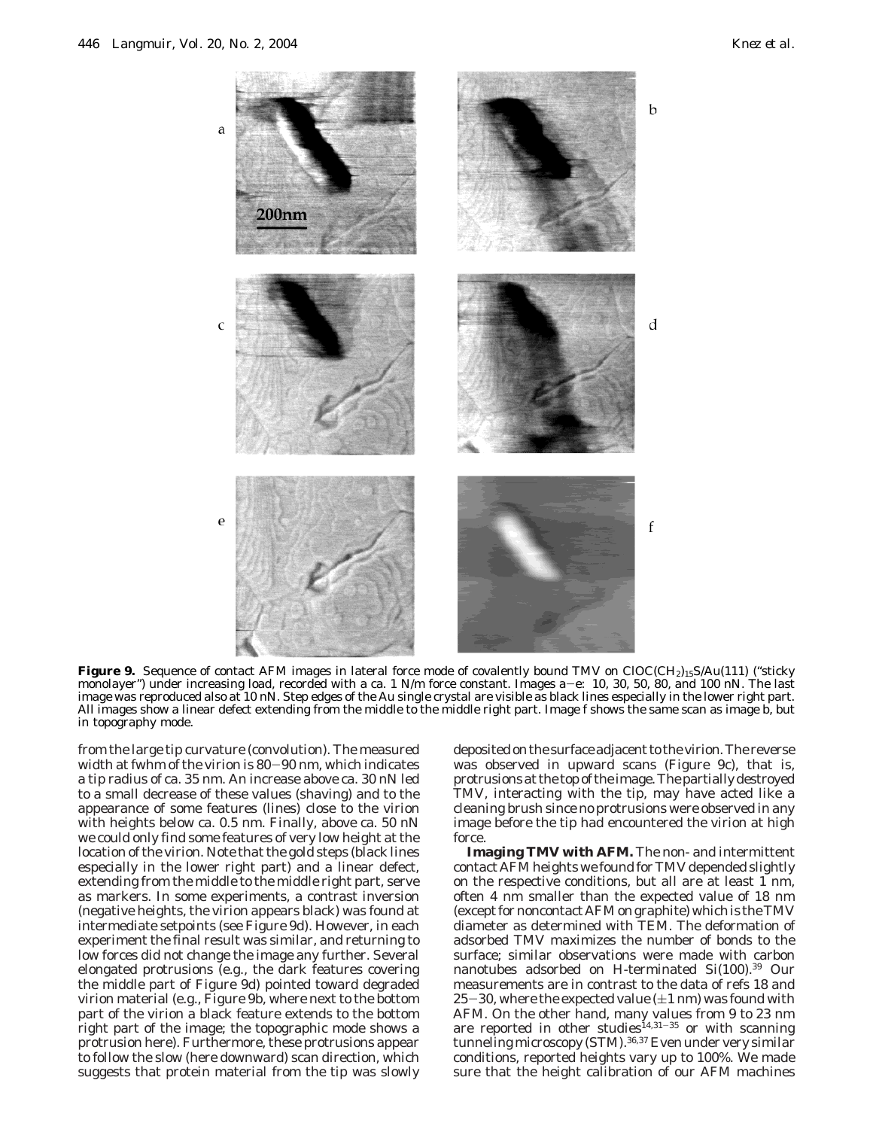

**Figure 9.** Sequence of contact AFM images in lateral force mode of covalently bound TMV on ClOC(CH<sub>2)15</sub>S/Au(111) ("sticky monolayer") under increasing load, recorded with a ca. 1 N/m force constant. Images a–e: 10, 30, 5 monolayer") under increasing load, recorded with a ca. 1 N/m force constant. Images a–e: 10, 30, 50, 80, and 100 nN. The last<br>image was reproduced also at 10 nN. Step edges of the Au single crystal are visible as black li All images show a linear defect extending from the middle to the middle right part. Image f shows the same scan as image b, but in topography mode.

from the large tip curvature (convolution). The measured width at fwhm of the virion is 80-90 nm, which indicates a tip radius of ca. 35 nm. An increase above ca. 30 nN led to a small decrease of these values (shaving) and to the appearance of some features (lines) close to the virion with heights below ca. 0.5 nm. Finally, above ca. 50 nN we could only find some features of very low height at the location of the virion. Note that the gold steps (black lines especially in the lower right part) and a linear defect, extending from the middle to the middle right part, serve as markers. In some experiments, a contrast inversion (negative heights, the virion appears black) was found at intermediate setpoints (see Figure 9d). However, in each experiment the final result was similar, and returning to low forces did not change the image any further. Several elongated protrusions (e.g., the dark features covering the middle part of Figure 9d) pointed toward degraded virion material (e.g., Figure 9b, where next to the bottom part of the virion a black feature extends to the bottom right part of the image; the topographic mode shows a protrusion here). Furthermore, these protrusions appear to follow the slow (here downward) scan direction, which suggests that protein material from the tip was slowly deposited on the surface adjacent to the virion. The reverse was observed in upward scans (Figure 9c), that is, protrusions at the top of the image. The partially destroyed TMV, interacting with the tip, may have acted like a cleaning brush since no protrusions were observed in any image before the tip had encountered the virion at high force.

**Imaging TMV with AFM.** The non- and intermittent contact AFM heights we found for TMV depended slightly on the respective conditions, but all are at least 1 nm, often 4 nm smaller than the expected value of 18 nm (except for noncontact AFM on graphite) which is the TMV diameter as determined with TEM. The deformation of adsorbed TMV maximizes the number of bonds to the surface; similar observations were made with carbon nanotubes adsorbed on H-terminated Si(100).39 Our measurements are in contrast to the data of refs 18 and 25-30, where the expected value  $(\pm 1 \text{ nm})$  was found with AFM. On the other hand, many values from 9 to 23 nm are reported in other studies<sup>14,31-35</sup> or with scanning tunneling microscopy (STM).<sup>36,37</sup> Even under very similar conditions, reported heights vary up to 100%. We made sure that the height calibration of our AFM machines